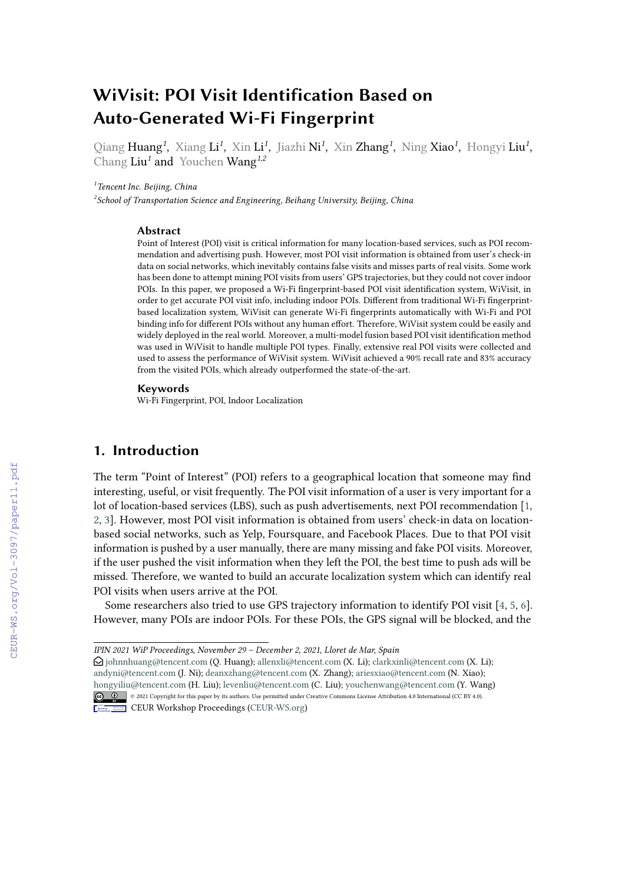# **WiVisit: POI Visit Identification Based on Auto-Generated Wi-Fi Fingerprint**

Qiang Huang*<sup>1</sup>* , Xiang Li*<sup>1</sup>* , Xin Li*<sup>1</sup>* , Jiazhi Ni*<sup>1</sup>* , Xin Zhang*<sup>1</sup>* , Ning Xiao*<sup>1</sup>* , Hongyi Liu*<sup>1</sup>* , Chang Liu*<sup>1</sup>* and Youchen Wang*1,2*

*1 Tencent Inc. Beijing, China*

*2 School of Transportation Science and Engineering, Beihang University, Beijing, China*

#### **Abstract**

Point of Interest (POI) visit is critical information for many location-based services, such as POI recommendation and advertising push. However, most POI visit information is obtained from user's check-in data on social networks, which inevitably contains false visits and misses parts of real visits. Some work has been done to attempt mining POI visits from users' GPS trajectories, but they could not cover indoor POIs. In this paper, we proposed a Wi-Fi fingerprint-based POI visit identification system, WiVisit, in order to get accurate POI visit info, including indoor POIs. Different from traditional Wi-Fi fingerprintbased localization system, WiVisit can generate Wi-Fi fingerprints automatically with Wi-Fi and POI binding info for different POIs without any human effort. Therefore, WiVisit system could be easily and widely deployed in the real world. Moreover, a multi-model fusion based POI visit identification method was used in WiVisit to handle multiple POI types. Finally, extensive real POI visits were collected and used to assess the performance of WiVisit system. WiVisit achieved a 90% recall rate and 83% accuracy from the visited POIs, which already outperformed the state-of-the-art.

#### **Keywords**

Wi-Fi Fingerprint, POI, Indoor Localization

# **1. Introduction**

The term "Point of Interest" (POI) refers to a geographical location that someone may find interesting, useful, or visit frequently. The POI visit information of a user is very important for a lot of location-based services (LBS), such as push advertisements, next POI recommendation [\[1,](#page--1-0) [2,](#page--1-1) [3\]](#page--1-2). However, most POI visit information is obtained from users' check-in data on locationbased social networks, such as Yelp, Foursquare, and Facebook Places. Due to that POI visit information is pushed by a user manually, there are many missing and fake POI visits. Moreover, if the user pushed the visit information when they left the POI, the best time to push ads will be missed. Therefore, we wanted to build an accurate localization system which can identify real POI visits when users arrive at the POI.

Some researchers also tried to use GPS trajectory information to identify POI visit [\[4,](#page--1-3) [5,](#page--1-4) [6\]](#page--1-5). However, many POIs are indoor POIs. For these POIs, the GPS signal will be blocked, and the

 $\bigcirc$  [johnnhuang@tencent.com](mailto:johnnhuang@tencent.com) (Q. Huang); [allenxli@tencent.com](mailto:allenxli@tencent.com) (X. Li); [clarkxinli@tencent.com](mailto:clarkxinli@tencent.com) (X. Li); [andyni@tencent.com](mailto:andyni@tencent.com) (J. Ni); [deanxzhang@tencent.com](mailto:deanxzhang@tencent.com) (X. Zhang); [ariesxiao@tencent.com](mailto:ariesxiao@tencent.com) (N. Xiao); [hongyiliu@tencent.com](mailto:hongyiliu@tencent.com) (H. Liu); [levenliu@tencent.com](mailto:levenliu@tencent.com) (C. Liu); [youchenwang@tencent.com](mailto:youchenwang@tencent.com) (Y. Wang) © 2021 Copyright for this paper by its authors. Use permitted under Creative Commons License Attribution 4.0 International (CC BY 4.0).



**CEUR Workshop [Proceedings](http://ceur-ws.org) [\(CEUR-WS.org\)](http://ceur-ws.org)** 

*IPIN 2021 WiP Proceedings, November 29 – December 2, 2021, Lloret de Mar, Spain*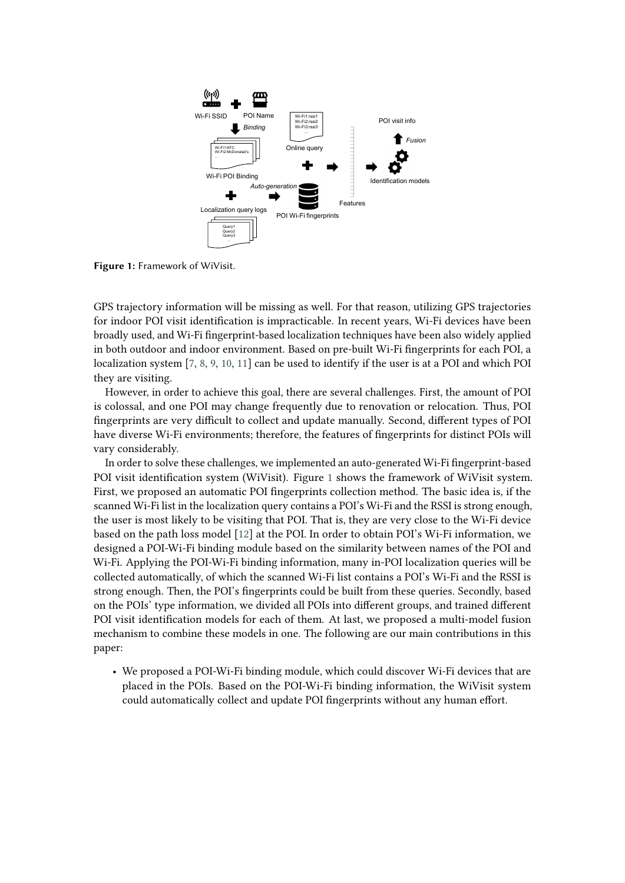<span id="page-1-0"></span>

**Figure 1:** Framework of WiVisit.

GPS trajectory information will be missing as well. For that reason, utilizing GPS trajectories for indoor POI visit identification is impracticable. In recent years, Wi-Fi devices have been broadly used, and Wi-Fi fingerprint-based localization techniques have been also widely applied in both outdoor and indoor environment. Based on pre-built Wi-Fi fingerprints for each POI, a localization system [\[7,](#page-14-0) [8,](#page-14-1) [9,](#page-14-2) [10,](#page-14-3) [11\]](#page-14-4) can be used to identify if the user is at a POI and which POI they are visiting.

However, in order to achieve this goal, there are several challenges. First, the amount of POI is colossal, and one POI may change frequently due to renovation or relocation. Thus, POI fingerprints are very difficult to collect and update manually. Second, different types of POI have diverse Wi-Fi environments; therefore, the features of fingerprints for distinct POIs will vary considerably.

In order to solve these challenges, we implemented an auto-generated Wi-Fi fingerprint-based POI visit identification system (WiVisit). Figure [1](#page-1-0) shows the framework of WiVisit system. First, we proposed an automatic POI fingerprints collection method. The basic idea is, if the scanned Wi-Fi list in the localization query contains a POI's Wi-Fi and the RSSI is strong enough, the user is most likely to be visiting that POI. That is, they are very close to the Wi-Fi device based on the path loss model [\[12\]](#page-14-5) at the POI. In order to obtain POI's Wi-Fi information, we designed a POI-Wi-Fi binding module based on the similarity between names of the POI and Wi-Fi. Applying the POI-Wi-Fi binding information, many in-POI localization queries will be collected automatically, of which the scanned Wi-Fi list contains a POI's Wi-Fi and the RSSI is strong enough. Then, the POI's fingerprints could be built from these queries. Secondly, based on the POIs' type information, we divided all POIs into different groups, and trained different POI visit identification models for each of them. At last, we proposed a multi-model fusion mechanism to combine these models in one. The following are our main contributions in this paper:

• We proposed a POI-Wi-Fi binding module, which could discover Wi-Fi devices that are placed in the POIs. Based on the POI-Wi-Fi binding information, the WiVisit system could automatically collect and update POI fingerprints without any human effort.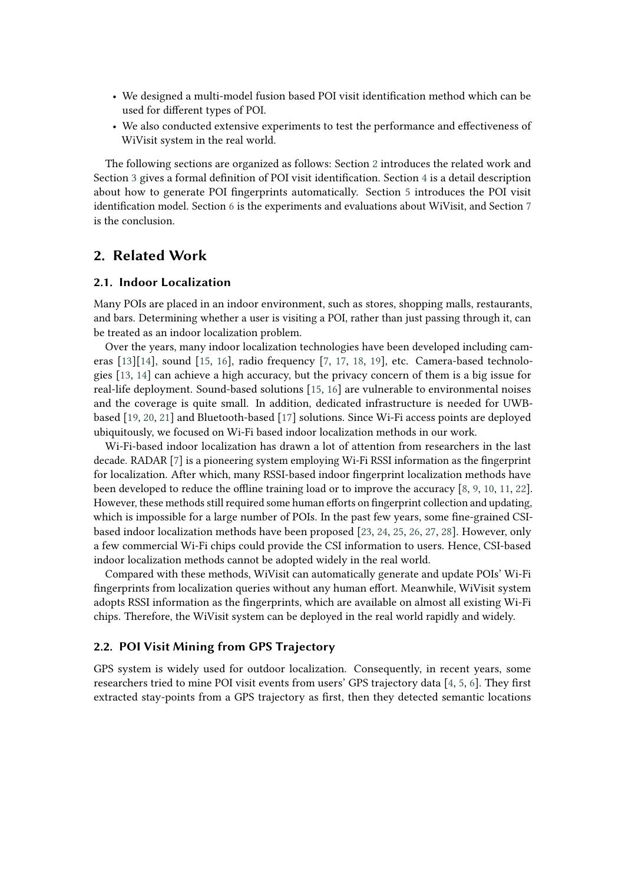- We designed a multi-model fusion based POI visit identification method which can be used for different types of POI.
- We also conducted extensive experiments to test the performance and effectiveness of WiVisit system in the real world.

The following sections are organized as follows: Section [2](#page-2-0) introduces the related work and Section [3](#page-3-0) gives a formal definition of POI visit identification. Section [4](#page-3-1) is a detail description about how to generate POI fingerprints automatically. Section [5](#page-5-0) introduces the POI visit identification model. Section [6](#page-9-0) is the experiments and evaluations about WiVisit, and Section [7](#page-13-0) is the conclusion.

# <span id="page-2-0"></span>**2. Related Work**

#### **2.1. Indoor Localization**

Many POIs are placed in an indoor environment, such as stores, shopping malls, restaurants, and bars. Determining whether a user is visiting a POI, rather than just passing through it, can be treated as an indoor localization problem.

Over the years, many indoor localization technologies have been developed including cameras [\[13\]](#page-14-6)[\[14\]](#page-15-0), sound [\[15,](#page-15-1) [16\]](#page-15-2), radio frequency [\[7,](#page-14-0) [17,](#page-15-3) [18,](#page-15-4) [19\]](#page-15-5), etc. Camera-based technologies [\[13,](#page-14-6) [14\]](#page-15-0) can achieve a high accuracy, but the privacy concern of them is a big issue for real-life deployment. Sound-based solutions [\[15,](#page-15-1) [16\]](#page-15-2) are vulnerable to environmental noises and the coverage is quite small. In addition, dedicated infrastructure is needed for UWBbased [\[19,](#page-15-5) [20,](#page-15-6) [21\]](#page-15-7) and Bluetooth-based [\[17\]](#page-15-3) solutions. Since Wi-Fi access points are deployed ubiquitously, we focused on Wi-Fi based indoor localization methods in our work.

Wi-Fi-based indoor localization has drawn a lot of attention from researchers in the last decade. RADAR [\[7\]](#page-14-0) is a pioneering system employing Wi-Fi RSSI information as the fingerprint for localization. After which, many RSSI-based indoor fingerprint localization methods have been developed to reduce the offline training load or to improve the accuracy [\[8,](#page-14-1) [9,](#page-14-2) [10,](#page-14-3) [11,](#page-14-4) [22\]](#page-15-8). However, these methods still required some human efforts on fingerprint collection and updating, which is impossible for a large number of POIs. In the past few years, some fine-grained CSIbased indoor localization methods have been proposed [\[23,](#page-15-9) [24,](#page-15-10) [25,](#page-15-11) [26,](#page-15-12) [27,](#page-15-13) [28\]](#page-15-14). However, only a few commercial Wi-Fi chips could provide the CSI information to users. Hence, CSI-based indoor localization methods cannot be adopted widely in the real world.

Compared with these methods, WiVisit can automatically generate and update POIs' Wi-Fi fingerprints from localization queries without any human effort. Meanwhile, WiVisit system adopts RSSI information as the fingerprints, which are available on almost all existing Wi-Fi chips. Therefore, the WiVisit system can be deployed in the real world rapidly and widely.

#### **2.2. POI Visit Mining from GPS Trajectory**

GPS system is widely used for outdoor localization. Consequently, in recent years, some researchers tried to mine POI visit events from users' GPS trajectory data [\[4,](#page-14-7) [5,](#page-14-8) [6\]](#page-14-9). They first extracted stay-points from a GPS trajectory as first, then they detected semantic locations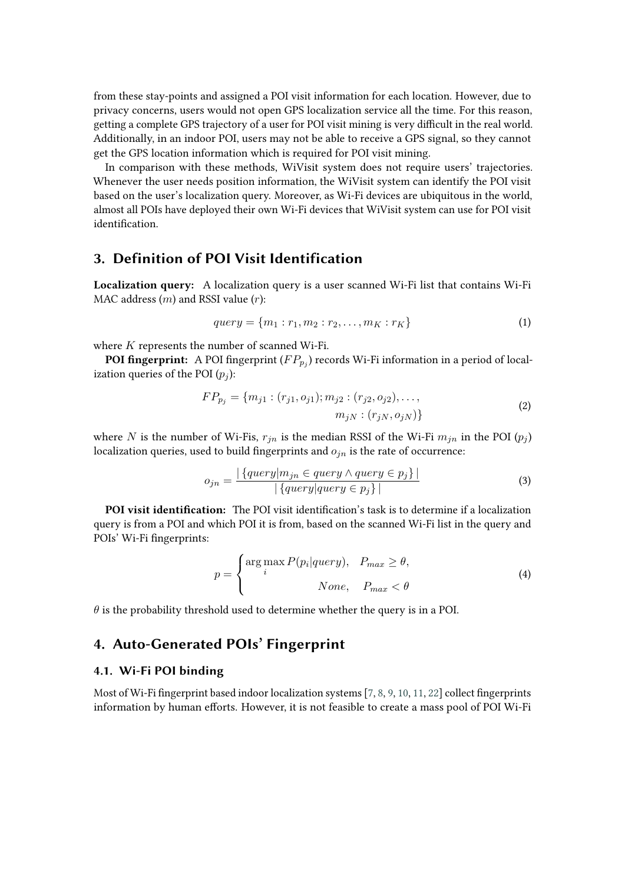from these stay-points and assigned a POI visit information for each location. However, due to privacy concerns, users would not open GPS localization service all the time. For this reason, getting a complete GPS trajectory of a user for POI visit mining is very difficult in the real world. Additionally, in an indoor POI, users may not be able to receive a GPS signal, so they cannot get the GPS location information which is required for POI visit mining.

In comparison with these methods, WiVisit system does not require users' trajectories. Whenever the user needs position information, the WiVisit system can identify the POI visit based on the user's localization query. Moreover, as Wi-Fi devices are ubiquitous in the world, almost all POIs have deployed their own Wi-Fi devices that WiVisit system can use for POI visit identification.

# <span id="page-3-0"></span>**3. Definition of POI Visit Identification**

**Localization query:** A localization query is a user scanned Wi-Fi list that contains Wi-Fi MAC address  $(m)$  and RSSI value  $(r)$ :

$$
query = \{m_1 : r_1, m_2 : r_2, \dots, m_K : r_K\}
$$
\n(1)

where  $K$  represents the number of scanned Wi-Fi.

**POI fingerprint:** A POI fingerprint  $(FP_{p_j})$  records Wi-Fi information in a period of localization queries of the POI  $(p_i)$ :

$$
FP_{p_j} = \{m_{j1} : (r_{j1}, o_{j1}); m_{j2} : (r_{j2}, o_{j2}), \dots, \newline m_{jN} : (r_{jN}, o_{jN})\}
$$
\n(2)

where N is the number of Wi-Fis,  $r_{in}$  is the median RSSI of the Wi-Fi  $m_{in}$  in the POI  $(p_i)$ localization queries, used to build fingerprints and  $o_{in}$  is the rate of occurrence:

$$
o_{jn} = \frac{|\{query | m_{jn} \in query \land query \in p_j\}|}{|\{query | query \in p_j\}|}
$$
\n(3)

**POI visit identification:** The POI visit identification's task is to determine if a localization query is from a POI and which POI it is from, based on the scanned Wi-Fi list in the query and POIs' Wi-Fi fingerprints:

$$
p = \begin{cases} \arg \max_{i} P(p_i|query), & P_{max} \ge \theta, \\ & None, & P_{max} < \theta \end{cases}
$$
 (4)

 $\theta$  is the probability threshold used to determine whether the query is in a POI.

# <span id="page-3-1"></span>**4. Auto-Generated POIs' Fingerprint**

#### **4.1. Wi-Fi POI binding**

Most of Wi-Fi fingerprint based indoor localization systems [\[7,](#page-14-0) [8,](#page-14-1) [9,](#page-14-2) [10,](#page-14-3) [11,](#page-14-4) [22\]](#page-15-8) collect fingerprints information by human efforts. However, it is not feasible to create a mass pool of POI Wi-Fi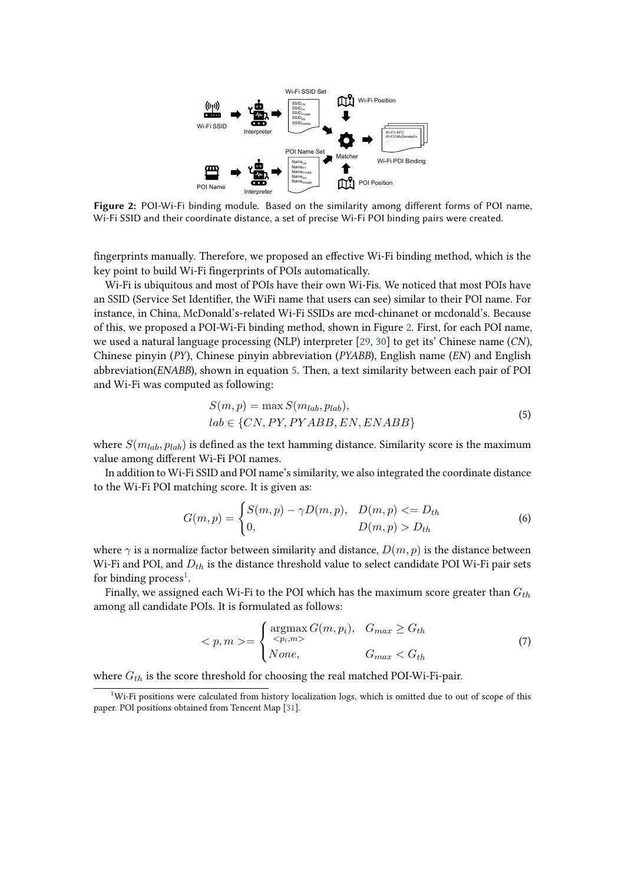<span id="page-4-0"></span>

**Figure 2:** POI-Wi-Fi binding module. Based on the similarity among different forms of POI name, Wi-Fi SSID and their coordinate distance, a set of precise Wi-Fi POI binding pairs were created.

fingerprints manually. Therefore, we proposed an effective Wi-Fi binding method, which is the key point to build Wi-Fi fingerprints of POIs automatically.

Wi-Fi is ubiquitous and most of POIs have their own Wi-Fis. We noticed that most POIs have an SSID (Service Set Identifier, the WiFi name that users can see) similar to their POI name. For instance, in China, McDonald's-related Wi-Fi SSIDs are mcd-chinanet or mcdonald's. Because of this, we proposed a POI-Wi-Fi binding method, shown in Figure [2.](#page-4-0) First, for each POI name, we used a natural language processing (NLP) interpreter [\[29,](#page-15-15) [30\]](#page-15-16) to get its' Chinese name (*CN*), Chinese pinyin (*PY*), Chinese pinyin abbreviation (*PYABB*), English name (*EN*) and English abbreviation(*ENABB*), shown in equation [5.](#page-4-1) Then, a text similarity between each pair of POI and Wi-Fi was computed as following:

<span id="page-4-1"></span>
$$
S(m, p) = \max S(m_{lab}, p_{lab}),
$$
  

$$
lab \in \{CN, PY, PYABB, EN, ENABB\}
$$
 (5)

where  $S(m_{lab}, p_{lab})$  is defined as the text hamming distance. Similarity score is the maximum value among different Wi-Fi POI names.

In addition to Wi-Fi SSID and POI name's similarity, we also integrated the coordinate distance to the Wi-Fi POI matching score. It is given as:

$$
G(m, p) = \begin{cases} S(m, p) - \gamma D(m, p), & D(m, p) < = D_{th} \\ 0, & D(m, p) > D_{th} \end{cases}
$$
(6)

where  $\gamma$  is a normalize factor between similarity and distance,  $D(m, p)$  is the distance between Wi-Fi and POI, and  $D_{th}$  is the distance threshold value to select candidate POI Wi-Fi pair sets for binding process<sup>[1](#page-4-2)</sup>.

Finally, we assigned each Wi-Fi to the POI which has the maximum score greater than  $G_{th}$ among all candidate POIs. It is formulated as follows:

$$
\langle p, m \rangle = \begin{cases} \operatorname*{argmax}_{\langle p_i, m \rangle} G(m, p_i), & G_{max} \ge G_{th} \\ \text{None}, & G_{max} < G_{th} \end{cases} \tag{7}
$$

where  $G_{th}$  is the score threshold for choosing the real matched POI-Wi-Fi-pair.

<span id="page-4-2"></span><sup>1</sup>Wi-Fi positions were calculated from history localization logs, which is omitted due to out of scope of this paper. POI positions obtained from Tencent Map [\[31\]](#page-15-17).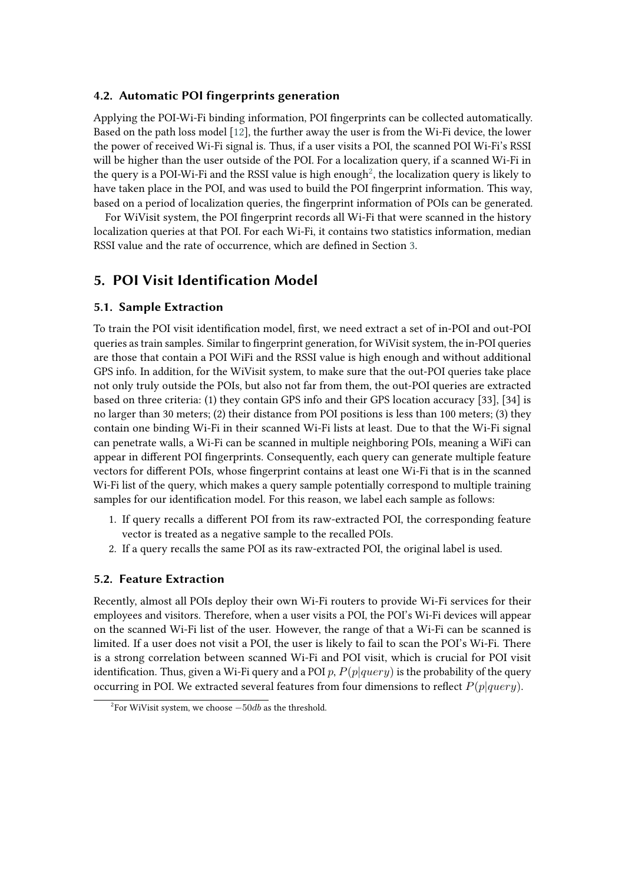#### **4.2. Automatic POI fingerprints generation**

Applying the POI-Wi-Fi binding information, POI fingerprints can be collected automatically. Based on the path loss model [\[12\]](#page-14-5), the further away the user is from the Wi-Fi device, the lower the power of received Wi-Fi signal is. Thus, if a user visits a POI, the scanned POI Wi-Fi's RSSI will be higher than the user outside of the POI. For a localization query, if a scanned Wi-Fi in the query is a POI-Wi-Fi and the RSSI value is high enough $^2$  $^2$ , the localization query is likely to have taken place in the POI, and was used to build the POI fingerprint information. This way, based on a period of localization queries, the fingerprint information of POIs can be generated.

For WiVisit system, the POI fingerprint records all Wi-Fi that were scanned in the history localization queries at that POI. For each Wi-Fi, it contains two statistics information, median RSSI value and the rate of occurrence, which are defined in Section [3.](#page-3-0)

# <span id="page-5-0"></span>**5. POI Visit Identification Model**

#### **5.1. Sample Extraction**

To train the POI visit identification model, first, we need extract a set of in-POI and out-POI queries as train samples. Similar to fingerprint generation, for WiVisit system, the in-POI queries are those that contain a POI WiFi and the RSSI value is high enough and without additional GPS info. In addition, for the WiVisit system, to make sure that the out-POI queries take place not only truly outside the POIs, but also not far from them, the out-POI queries are extracted based on three criteria: (1) they contain GPS info and their GPS location accuracy [33], [34] is no larger than 30 meters; (2) their distance from POI positions is less than 100 meters; (3) they contain one binding Wi-Fi in their scanned Wi-Fi lists at least. Due to that the Wi-Fi signal can penetrate walls, a Wi-Fi can be scanned in multiple neighboring POIs, meaning a WiFi can appear in different POI fingerprints. Consequently, each query can generate multiple feature vectors for different POIs, whose fingerprint contains at least one Wi-Fi that is in the scanned Wi-Fi list of the query, which makes a query sample potentially correspond to multiple training samples for our identification model. For this reason, we label each sample as follows:

- 1. If query recalls a different POI from its raw-extracted POI, the corresponding feature vector is treated as a negative sample to the recalled POIs.
- 2. If a query recalls the same POI as its raw-extracted POI, the original label is used.

#### <span id="page-5-2"></span>**5.2. Feature Extraction**

Recently, almost all POIs deploy their own Wi-Fi routers to provide Wi-Fi services for their employees and visitors. Therefore, when a user visits a POI, the POI's Wi-Fi devices will appear on the scanned Wi-Fi list of the user. However, the range of that a Wi-Fi can be scanned is limited. If a user does not visit a POI, the user is likely to fail to scan the POI's Wi-Fi. There is a strong correlation between scanned Wi-Fi and POI visit, which is crucial for POI visit identification. Thus, given a Wi-Fi query and a POI p,  $P(p|query)$  is the probability of the query occurring in POI. We extracted several features from four dimensions to reflect  $P(p|query)$ .

<span id="page-5-1"></span> $^{2}$ For WiVisit system, we choose  $-50db$  as the threshold.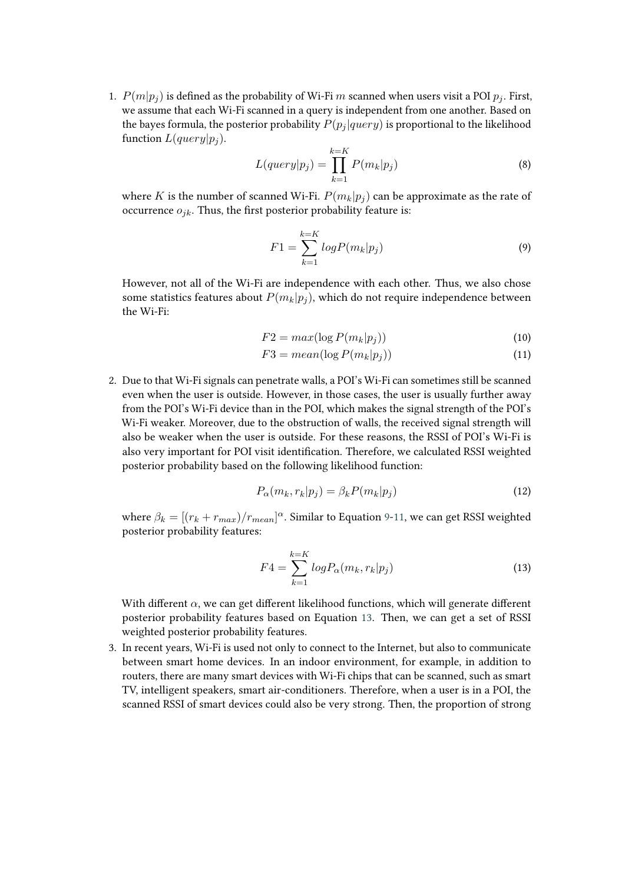1.  $P(m|p_i)$  is defined as the probability of Wi-Fi m scanned when users visit a POI  $p_i$ . First, we assume that each Wi-Fi scanned in a query is independent from one another. Based on the bayes formula, the posterior probability  $P(p_i|query)$  is proportional to the likelihood function  $L(query | p_i)$ .

$$
L(query|p_j) = \prod_{k=1}^{k=K} P(m_k|p_j)
$$
\n(8)

where K is the number of scanned Wi-Fi.  $P(m_k|p_i)$  can be approximate as the rate of occurrence  $o_{jk}$ . Thus, the first posterior probability feature is:

<span id="page-6-0"></span>
$$
F1 = \sum_{k=1}^{k=K} logP(m_k|p_j)
$$
\n(9)

However, not all of the Wi-Fi are independence with each other. Thus, we also chose some statistics features about  $P(m_k|p_i)$ , which do not require independence between the Wi-Fi:

<span id="page-6-1"></span>
$$
F2 = max(\log P(m_k|p_j))
$$
\n(10)

$$
F3 = mean(\log P(m_k|p_j))
$$
\n(11)

2. Due to that Wi-Fi signals can penetrate walls, a POI's Wi-Fi can sometimes still be scanned even when the user is outside. However, in those cases, the user is usually further away from the POI's Wi-Fi device than in the POI, which makes the signal strength of the POI's Wi-Fi weaker. Moreover, due to the obstruction of walls, the received signal strength will also be weaker when the user is outside. For these reasons, the RSSI of POI's Wi-Fi is also very important for POI visit identification. Therefore, we calculated RSSI weighted posterior probability based on the following likelihood function:

$$
P_{\alpha}(m_k, r_k|p_j) = \beta_k P(m_k|p_j)
$$
\n(12)

where  $\beta_k = [(r_k + r_{max})/r_{mean}]^{\alpha}$ . Similar to Equation [9](#page-6-0)[-11,](#page-6-1) we can get RSSI weighted posterior probability features:

<span id="page-6-2"></span>
$$
F4 = \sum_{k=1}^{k=K} \log P_{\alpha}(m_k, r_k | p_j)
$$
\n
$$
(13)
$$

With different  $\alpha$ , we can get different likelihood functions, which will generate different posterior probability features based on Equation [13.](#page-6-2) Then, we can get a set of RSSI weighted posterior probability features.

3. In recent years, Wi-Fi is used not only to connect to the Internet, but also to communicate between smart home devices. In an indoor environment, for example, in addition to routers, there are many smart devices with Wi-Fi chips that can be scanned, such as smart TV, intelligent speakers, smart air-conditioners. Therefore, when a user is in a POI, the scanned RSSI of smart devices could also be very strong. Then, the proportion of strong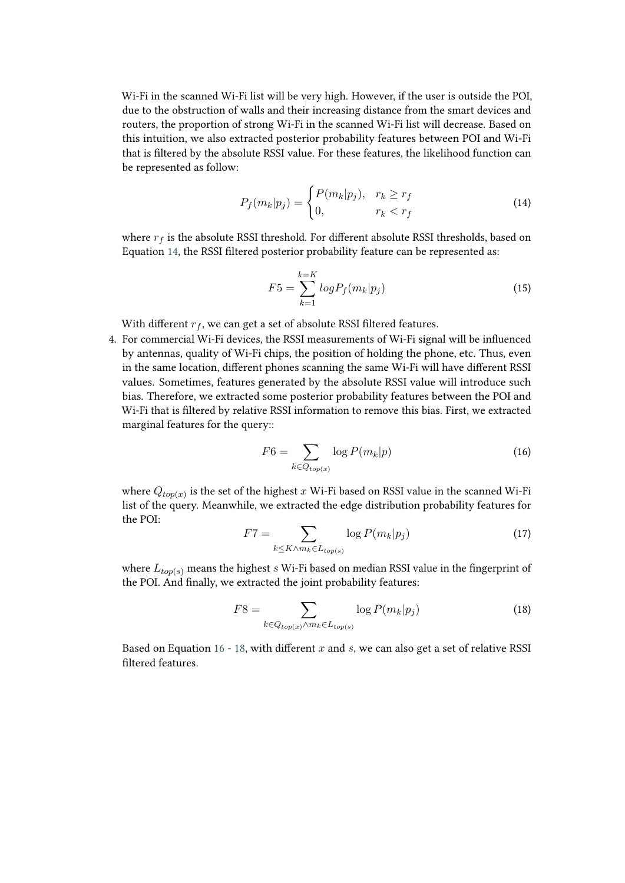Wi-Fi in the scanned Wi-Fi list will be very high. However, if the user is outside the POI, due to the obstruction of walls and their increasing distance from the smart devices and routers, the proportion of strong Wi-Fi in the scanned Wi-Fi list will decrease. Based on this intuition, we also extracted posterior probability features between POI and Wi-Fi that is filtered by the absolute RSSI value. For these features, the likelihood function can be represented as follow:

<span id="page-7-0"></span>
$$
P_f(m_k|p_j) = \begin{cases} P(m_k|p_j), & r_k \ge r_f \\ 0, & r_k < r_f \end{cases} \tag{14}
$$

where  $r_f$  is the absolute RSSI threshold. For different absolute RSSI thresholds, based on Equation [14,](#page-7-0) the RSSI filtered posterior probability feature can be represented as:

$$
F5 = \sum_{k=1}^{k=K} log P_f(m_k|p_j)
$$
 (15)

With different  $r_f$ , we can get a set of absolute RSSI filtered features.

4. For commercial Wi-Fi devices, the RSSI measurements of Wi-Fi signal will be influenced by antennas, quality of Wi-Fi chips, the position of holding the phone, etc. Thus, even in the same location, different phones scanning the same Wi-Fi will have different RSSI values. Sometimes, features generated by the absolute RSSI value will introduce such bias. Therefore, we extracted some posterior probability features between the POI and Wi-Fi that is filtered by relative RSSI information to remove this bias. First, we extracted marginal features for the query::

<span id="page-7-1"></span>
$$
F6 = \sum_{k \in Q_{top(x)}} \log P(m_k|p) \tag{16}
$$

where  $Q_{top(x)}$  is the set of the highest  $x$  Wi-Fi based on RSSI value in the scanned Wi-Fi list of the query. Meanwhile, we extracted the edge distribution probability features for the POI:

$$
F7 = \sum_{k \le K \wedge m_k \in L_{top(s)}} \log P(m_k|p_j) \tag{17}
$$

where  $L_{\text{top}(s)}$  means the highest s Wi-Fi based on median RSSI value in the fingerprint of the POI. And finally, we extracted the joint probability features:

<span id="page-7-2"></span>
$$
F8 = \sum_{k \in Q_{top(x)} \land m_k \in L_{top(s)}} \log P(m_k|p_j)
$$
(18)

Based on Equation [16](#page-7-1) - [18,](#page-7-2) with different  $x$  and  $s$ , we can also get a set of relative RSSI filtered features.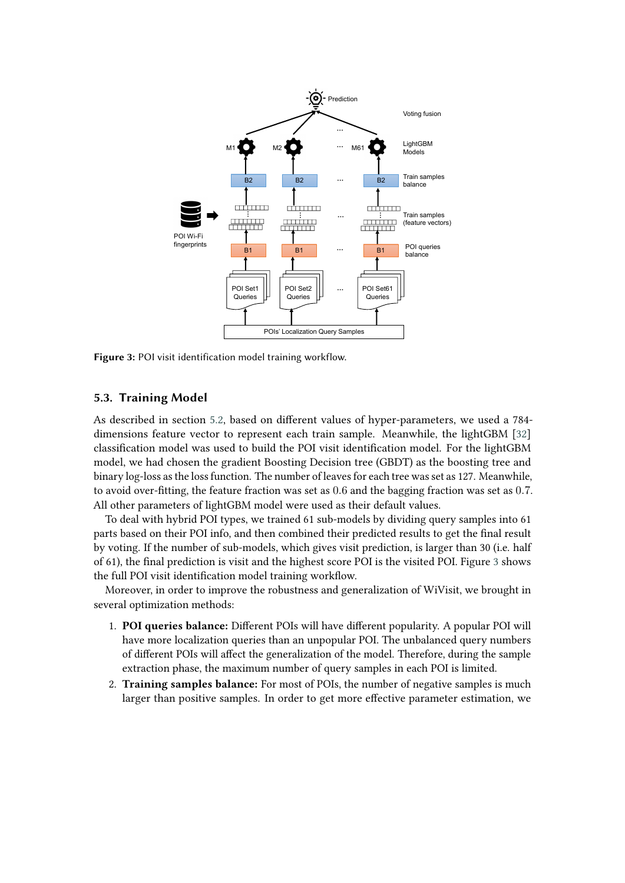<span id="page-8-0"></span>

**Figure 3:** POI visit identification model training workflow.

#### **5.3. Training Model**

As described in section [5.2,](#page-5-2) based on different values of hyper-parameters, we used a 784 dimensions feature vector to represent each train sample. Meanwhile, the lightGBM [\[32\]](#page-15-18) classification model was used to build the POI visit identification model. For the lightGBM model, we had chosen the gradient Boosting Decision tree (GBDT) as the boosting tree and binary log-loss as the loss function. The number of leaves for each tree was set as 127. Meanwhile, to avoid over-fitting, the feature fraction was set as 0.6 and the bagging fraction was set as 0.7. All other parameters of lightGBM model were used as their default values.

To deal with hybrid POI types, we trained 61 sub-models by dividing query samples into 61 parts based on their POI info, and then combined their predicted results to get the final result by voting. If the number of sub-models, which gives visit prediction, is larger than 30 (i.e. half of 61), the final prediction is visit and the highest score POI is the visited POI. Figure [3](#page-8-0) shows the full POI visit identification model training workflow.

Moreover, in order to improve the robustness and generalization of WiVisit, we brought in several optimization methods:

- 1. **POI queries balance:** Different POIs will have different popularity. A popular POI will have more localization queries than an unpopular POI. The unbalanced query numbers of different POIs will affect the generalization of the model. Therefore, during the sample extraction phase, the maximum number of query samples in each POI is limited.
- 2. **Training samples balance:** For most of POIs, the number of negative samples is much larger than positive samples. In order to get more effective parameter estimation, we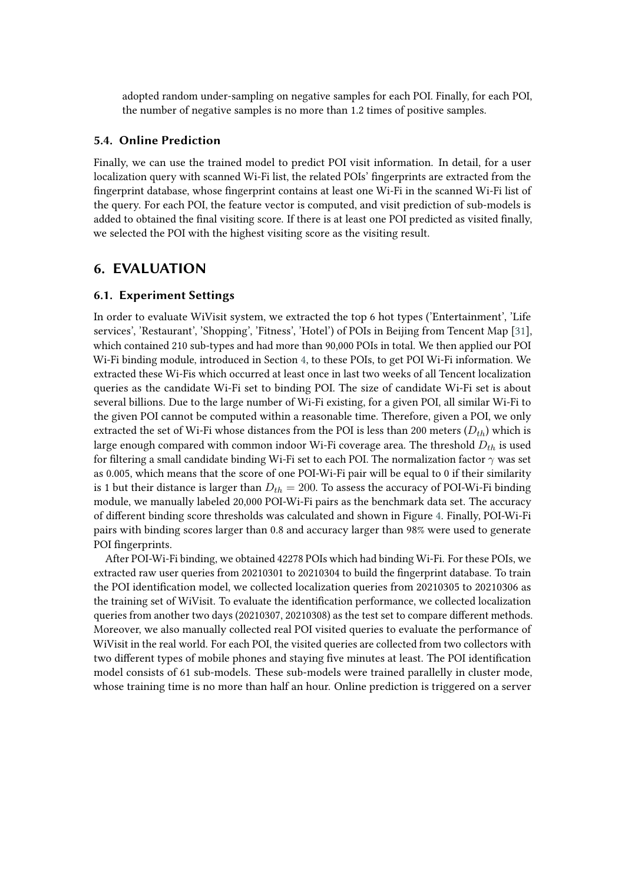adopted random under-sampling on negative samples for each POI. Finally, for each POI, the number of negative samples is no more than 1.2 times of positive samples.

#### **5.4. Online Prediction**

Finally, we can use the trained model to predict POI visit information. In detail, for a user localization query with scanned Wi-Fi list, the related POIs' fingerprints are extracted from the fingerprint database, whose fingerprint contains at least one Wi-Fi in the scanned Wi-Fi list of the query. For each POI, the feature vector is computed, and visit prediction of sub-models is added to obtained the final visiting score. If there is at least one POI predicted as visited finally, we selected the POI with the highest visiting score as the visiting result.

## <span id="page-9-0"></span>**6. EVALUATION**

## **6.1. Experiment Settings**

In order to evaluate WiVisit system, we extracted the top 6 hot types ('Entertainment', 'Life services', 'Restaurant', 'Shopping', 'Fitness', 'Hotel') of POIs in Beijing from Tencent Map [\[31\]](#page-15-17), which contained 210 sub-types and had more than 90,000 POIs in total. We then applied our POI Wi-Fi binding module, introduced in Section [4,](#page-3-1) to these POIs, to get POI Wi-Fi information. We extracted these Wi-Fis which occurred at least once in last two weeks of all Tencent localization queries as the candidate Wi-Fi set to binding POI. The size of candidate Wi-Fi set is about several billions. Due to the large number of Wi-Fi existing, for a given POI, all similar Wi-Fi to the given POI cannot be computed within a reasonable time. Therefore, given a POI, we only extracted the set of Wi-Fi whose distances from the POI is less than 200 meters  $(D_{th})$  which is large enough compared with common indoor Wi-Fi coverage area. The threshold  $D_{th}$  is used for filtering a small candidate binding Wi-Fi set to each POI. The normalization factor  $\gamma$  was set as 0.005, which means that the score of one POI-Wi-Fi pair will be equal to 0 if their similarity is 1 but their distance is larger than  $D_{th} = 200$ . To assess the accuracy of POI-Wi-Fi binding module, we manually labeled 20,000 POI-Wi-Fi pairs as the benchmark data set. The accuracy of different binding score thresholds was calculated and shown in Figure [4.](#page-10-0) Finally, POI-Wi-Fi pairs with binding scores larger than 0.8 and accuracy larger than 98% were used to generate POI fingerprints.

After POI-Wi-Fi binding, we obtained 42278 POIs which had binding Wi-Fi. For these POIs, we extracted raw user queries from 20210301 to 20210304 to build the fingerprint database. To train the POI identification model, we collected localization queries from 20210305 to 20210306 as the training set of WiVisit. To evaluate the identification performance, we collected localization queries from another two days (20210307, 20210308) as the test set to compare different methods. Moreover, we also manually collected real POI visited queries to evaluate the performance of WiVisit in the real world. For each POI, the visited queries are collected from two collectors with two different types of mobile phones and staying five minutes at least. The POI identification model consists of 61 sub-models. These sub-models were trained parallelly in cluster mode, whose training time is no more than half an hour. Online prediction is triggered on a server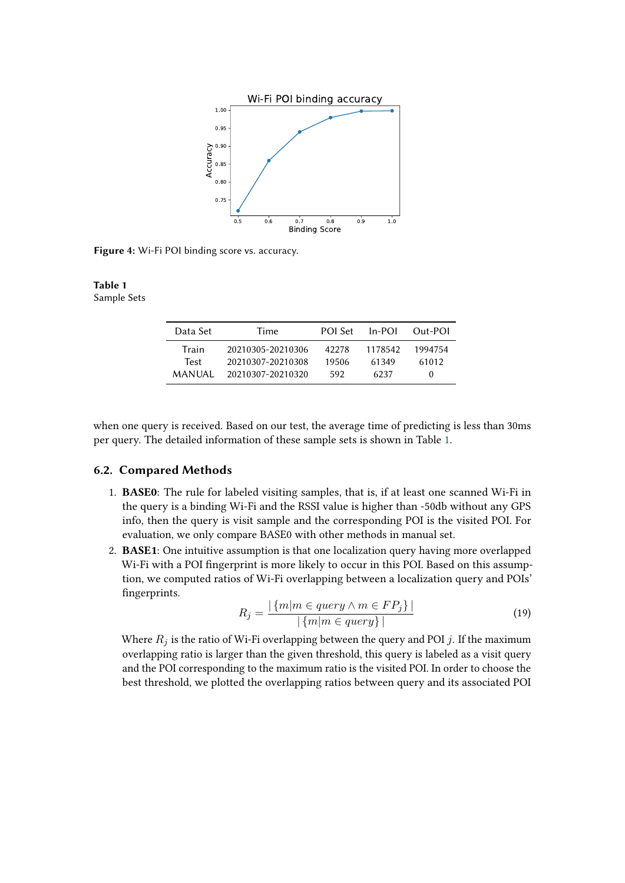<span id="page-10-0"></span>

**Figure 4:** Wi-Fi POI binding score vs. accuracy.

#### <span id="page-10-1"></span>**Table 1** Sample Sets

| Data Set    | Time              | POL Set | $In-POI$ | Out-POI  |
|-------------|-------------------|---------|----------|----------|
| Train       | 20210305-20210306 | 42278   | 1178542  | 1994754  |
| <b>Test</b> | 20210307-20210308 | 19506   | 61349    | 61012    |
| MANUAL      | 20210307-20210320 | 592     | 6237     | $\theta$ |

when one query is received. Based on our test, the average time of predicting is less than 30ms per query. The detailed information of these sample sets is shown in Table [1.](#page-10-1)

#### **6.2. Compared Methods**

- 1. **BASE0**: The rule for labeled visiting samples, that is, if at least one scanned Wi-Fi in the query is a binding Wi-Fi and the RSSI value is higher than -50db without any GPS info, then the query is visit sample and the corresponding POI is the visited POI. For evaluation, we only compare BASE0 with other methods in manual set.
- 2. **BASE1**: One intuitive assumption is that one localization query having more overlapped Wi-Fi with a POI fingerprint is more likely to occur in this POI. Based on this assumption, we computed ratios of Wi-Fi overlapping between a localization query and POIs' fingerprints.

$$
R_j = \frac{|\{m|m \in query \land m \in FP_j\}|}{|\{m|m \in query\}|}\tag{19}
$$

Where  $R_i$  is the ratio of Wi-Fi overlapping between the query and POI j. If the maximum overlapping ratio is larger than the given threshold, this query is labeled as a visit query and the POI corresponding to the maximum ratio is the visited POI. In order to choose the best threshold, we plotted the overlapping ratios between query and its associated POI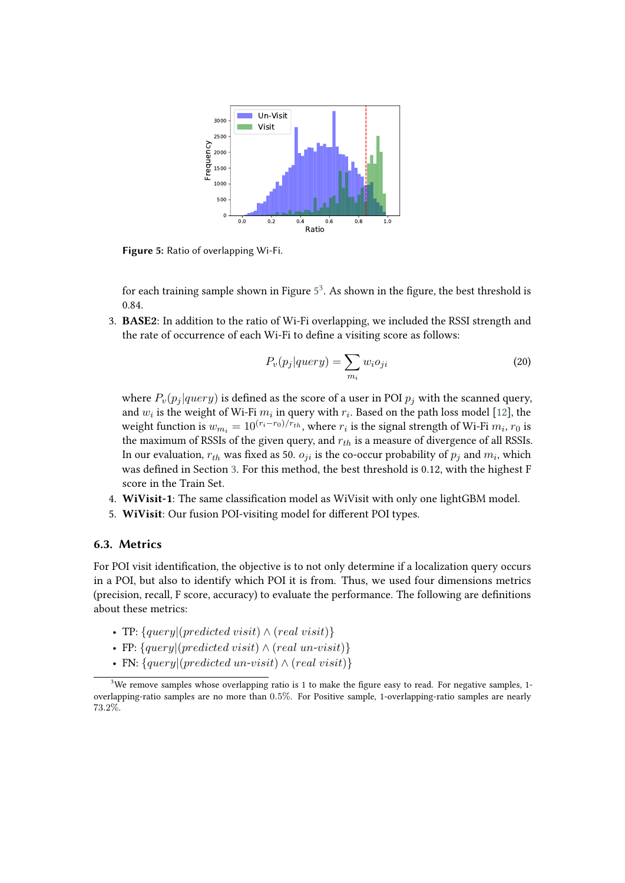<span id="page-11-0"></span>

**Figure 5:** Ratio of overlapping Wi-Fi.

for each training sample shown in Figure  $5^3$  $5^3$  $5^3$ . As shown in the figure, the best threshold is 0.84.

3. **BASE2**: In addition to the ratio of Wi-Fi overlapping, we included the RSSI strength and the rate of occurrence of each Wi-Fi to define a visiting score as follows:

$$
P_v(p_j|query) = \sum_{m_i} w_i o_{ji}
$$
\n(20)

where  $P_v(p_i|query)$  is defined as the score of a user in POI  $p_i$  with the scanned query, and  $w_i$  is the weight of Wi-Fi  $m_i$  in query with  $r_i$ . Based on the path loss model [\[12\]](#page-14-5), the weight function is  $w_{m_i} = 10^{(r_i - r_0)/r_{th}}$ , where  $r_i$  is the signal strength of Wi-Fi  $m_i$ ,  $r_0$  is the maximum of RSSIs of the given query, and  $r_{th}$  is a measure of divergence of all RSSIs. In our evaluation,  $r_{th}$  was fixed as 50.  $o_{ji}$  is the co-occur probability of  $p_j$  and  $m_i$ , which was defined in Section [3.](#page-3-0) For this method, the best threshold is 0.12, with the highest F score in the Train Set.

- 4. **WiVisit-1**: The same classification model as WiVisit with only one lightGBM model.
- 5. **WiVisit**: Our fusion POI-visiting model for different POI types.

#### **6.3. Metrics**

For POI visit identification, the objective is to not only determine if a localization query occurs in a POI, but also to identify which POI it is from. Thus, we used four dimensions metrics (precision, recall, F score, accuracy) to evaluate the performance. The following are definitions about these metrics:

- TP:  ${query} | (predicted \, visit) \land (real \, visit)$
- FP:  ${query | (predicted visit) \land (real un-visit)}$
- <span id="page-11-1"></span>• FN:  $\{query | (predicted un-visit) \land (real visit) \}$

<sup>&</sup>lt;sup>3</sup>We remove samples whose overlapping ratio is 1 to make the figure easy to read. For negative samples, 1overlapping-ratio samples are no more than 0.5%. For Positive sample, 1-overlapping-ratio samples are nearly 73.2%.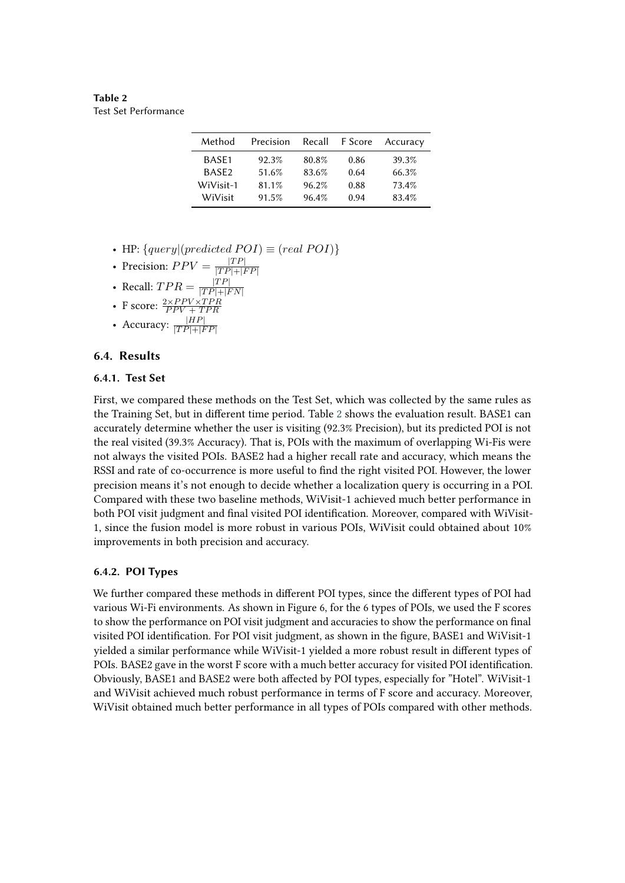<span id="page-12-0"></span>**Table 2** Test Set Performance

| Method            | Precision | Recall | F Score | Accuracy |
|-------------------|-----------|--------|---------|----------|
| BASE1             | 92.3%     | 80.8%  | 0.86    | 39.3%    |
| BASE <sub>2</sub> | 51.6%     | 83.6%  | 0.64    | 66.3%    |
| WiVisit-1         | 81.1%     | 96.2%  | 0.88    | 73.4%    |
| WiVisit           | 91.5%     | 96.4%  | 0.94    | 83.4%    |

- HP:  $\{query | (predicted \ POI) \equiv (real \ POI) \}$
- Precision:  $PPV = \frac{|TP|}{|TP|+|P|}$  $|TP|+|FP|$
- Recall:  $TPR = \frac{|TP|}{|TP|+|P|}$  $|TP|+|FN|$
- F score:  $\frac{2 \times PPV \times TPR}{PPV + TPR}$
- 
- Accuracy:  $\frac{|HP|}{|TP|+|FP|}$

## **6.4. Results**

#### **6.4.1. Test Set**

First, we compared these methods on the Test Set, which was collected by the same rules as the Training Set, but in different time period. Table [2](#page-12-0) shows the evaluation result. BASE1 can accurately determine whether the user is visiting (92.3% Precision), but its predicted POI is not the real visited (39.3% Accuracy). That is, POIs with the maximum of overlapping Wi-Fis were not always the visited POIs. BASE2 had a higher recall rate and accuracy, which means the RSSI and rate of co-occurrence is more useful to find the right visited POI. However, the lower precision means it's not enough to decide whether a localization query is occurring in a POI. Compared with these two baseline methods, WiVisit-1 achieved much better performance in both POI visit judgment and final visited POI identification. Moreover, compared with WiVisit-1, since the fusion model is more robust in various POIs, WiVisit could obtained about 10% improvements in both precision and accuracy.

#### **6.4.2. POI Types**

We further compared these methods in different POI types, since the different types of POI had various Wi-Fi environments. As shown in Figure 6, for the 6 types of POIs, we used the F scores to show the performance on POI visit judgment and accuracies to show the performance on final visited POI identification. For POI visit judgment, as shown in the figure, BASE1 and WiVisit-1 yielded a similar performance while WiVisit-1 yielded a more robust result in different types of POIs. BASE2 gave in the worst F score with a much better accuracy for visited POI identification. Obviously, BASE1 and BASE2 were both affected by POI types, especially for "Hotel". WiVisit-1 and WiVisit achieved much robust performance in terms of F score and accuracy. Moreover, WiVisit obtained much better performance in all types of POIs compared with other methods.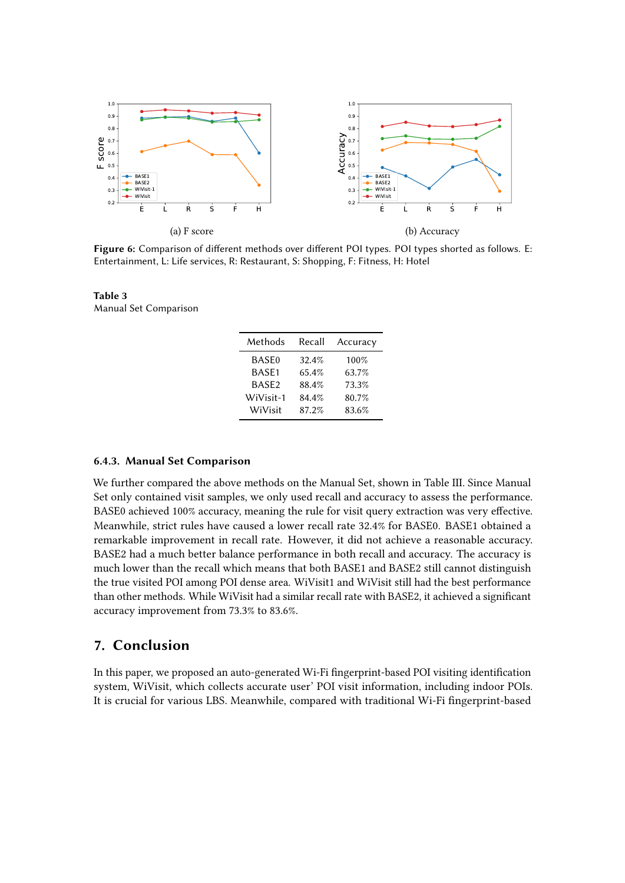

**Figure 6:** Comparison of different methods over different POI types. POI types shorted as follows. E: Entertainment, L: Life services, R: Restaurant, S: Shopping, F: Fitness, H: Hotel

**Table 3** Manual Set Comparison

| Methods           | Recall | Accuracy |
|-------------------|--------|----------|
| <b>BASE0</b>      | 32.4%  | 100%     |
| BASE1             | 65.4%  | 63.7%    |
| BASE <sub>2</sub> | 88.4%  | 73.3%    |
| WiVisit-1         | 84.4%  | 80.7%    |
| WiVisit           | 87.2%  | 83.6%    |

#### **6.4.3. Manual Set Comparison**

We further compared the above methods on the Manual Set, shown in Table III. Since Manual Set only contained visit samples, we only used recall and accuracy to assess the performance. BASE0 achieved 100% accuracy, meaning the rule for visit query extraction was very effective. Meanwhile, strict rules have caused a lower recall rate 32.4% for BASE0. BASE1 obtained a remarkable improvement in recall rate. However, it did not achieve a reasonable accuracy. BASE2 had a much better balance performance in both recall and accuracy. The accuracy is much lower than the recall which means that both BASE1 and BASE2 still cannot distinguish the true visited POI among POI dense area. WiVisit1 and WiVisit still had the best performance than other methods. While WiVisit had a similar recall rate with BASE2, it achieved a significant accuracy improvement from 73.3% to 83.6%.

# <span id="page-13-0"></span>**7. Conclusion**

In this paper, we proposed an auto-generated Wi-Fi fingerprint-based POI visiting identification system, WiVisit, which collects accurate user' POI visit information, including indoor POIs. It is crucial for various LBS. Meanwhile, compared with traditional Wi-Fi fingerprint-based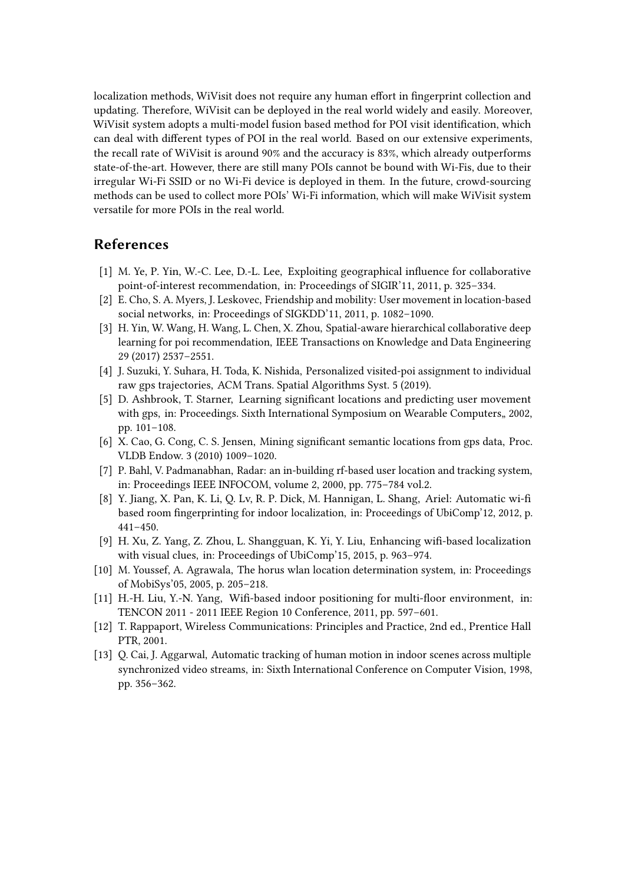localization methods, WiVisit does not require any human effort in fingerprint collection and updating. Therefore, WiVisit can be deployed in the real world widely and easily. Moreover, WiVisit system adopts a multi-model fusion based method for POI visit identification, which can deal with different types of POI in the real world. Based on our extensive experiments, the recall rate of WiVisit is around 90% and the accuracy is 83%, which already outperforms state-of-the-art. However, there are still many POIs cannot be bound with Wi-Fis, due to their irregular Wi-Fi SSID or no Wi-Fi device is deployed in them. In the future, crowd-sourcing methods can be used to collect more POIs' Wi-Fi information, which will make WiVisit system versatile for more POIs in the real world.

# **References**

- [1] M. Ye, P. Yin, W.-C. Lee, D.-L. Lee, Exploiting geographical influence for collaborative point-of-interest recommendation, in: Proceedings of SIGIR'11, 2011, p. 325–334.
- [2] E. Cho, S. A. Myers, J. Leskovec, Friendship and mobility: User movement in location-based social networks, in: Proceedings of SIGKDD'11, 2011, p. 1082–1090.
- [3] H. Yin, W. Wang, H. Wang, L. Chen, X. Zhou, Spatial-aware hierarchical collaborative deep learning for poi recommendation, IEEE Transactions on Knowledge and Data Engineering 29 (2017) 2537–2551.
- <span id="page-14-7"></span>[4] J. Suzuki, Y. Suhara, H. Toda, K. Nishida, Personalized visited-poi assignment to individual raw gps trajectories, ACM Trans. Spatial Algorithms Syst. 5 (2019).
- <span id="page-14-8"></span>[5] D. Ashbrook, T. Starner, Learning significant locations and predicting user movement with gps, in: Proceedings. Sixth International Symposium on Wearable Computers, 2002, pp. 101–108.
- <span id="page-14-9"></span>[6] X. Cao, G. Cong, C. S. Jensen, Mining significant semantic locations from gps data, Proc. VLDB Endow. 3 (2010) 1009–1020.
- <span id="page-14-0"></span>[7] P. Bahl, V. Padmanabhan, Radar: an in-building rf-based user location and tracking system, in: Proceedings IEEE INFOCOM, volume 2, 2000, pp. 775–784 vol.2.
- <span id="page-14-1"></span>[8] Y. Jiang, X. Pan, K. Li, Q. Lv, R. P. Dick, M. Hannigan, L. Shang, Ariel: Automatic wi-fi based room fingerprinting for indoor localization, in: Proceedings of UbiComp'12, 2012, p. 441–450.
- <span id="page-14-2"></span>[9] H. Xu, Z. Yang, Z. Zhou, L. Shangguan, K. Yi, Y. Liu, Enhancing wifi-based localization with visual clues, in: Proceedings of UbiComp'15, 2015, p. 963–974.
- <span id="page-14-3"></span>[10] M. Youssef, A. Agrawala, The horus wlan location determination system, in: Proceedings of MobiSys'05, 2005, p. 205–218.
- <span id="page-14-4"></span>[11] H.-H. Liu, Y.-N. Yang, Wifi-based indoor positioning for multi-floor environment, in: TENCON 2011 - 2011 IEEE Region 10 Conference, 2011, pp. 597–601.
- <span id="page-14-5"></span>[12] T. Rappaport, Wireless Communications: Principles and Practice, 2nd ed., Prentice Hall PTR, 2001.
- <span id="page-14-6"></span>[13] Q. Cai, J. Aggarwal, Automatic tracking of human motion in indoor scenes across multiple synchronized video streams, in: Sixth International Conference on Computer Vision, 1998, pp. 356–362.